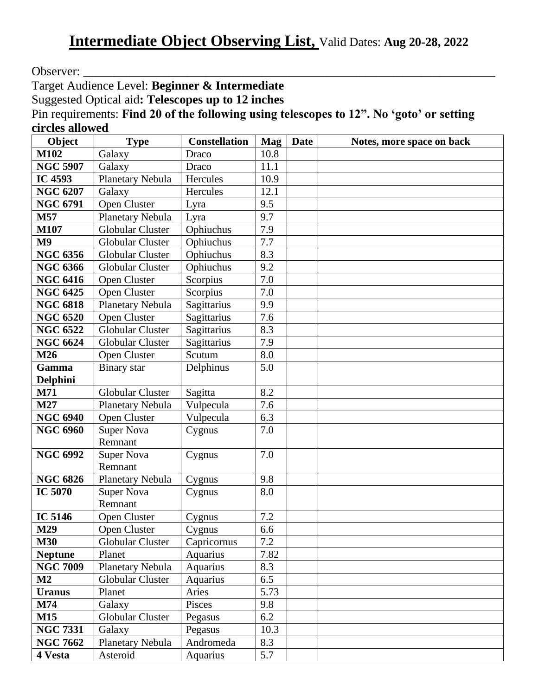Observer:

Target Audience Level: **Beginner & Intermediate**

Suggested Optical aid**: Telescopes up to 12 inches**

Pin requirements: **Find 20 of the following using telescopes to 12". No 'goto' or setting circles allowed**

| Object          | <b>Type</b>             | <b>Constellation</b> | <b>Mag</b> | <b>Date</b> | Notes, more space on back |
|-----------------|-------------------------|----------------------|------------|-------------|---------------------------|
| M102            | Galaxy                  | Draco                | 10.8       |             |                           |
| <b>NGC 5907</b> | Galaxy                  | Draco                | 11.1       |             |                           |
| <b>IC 4593</b>  | Planetary Nebula        | Hercules             | 10.9       |             |                           |
| <b>NGC 6207</b> | Galaxy                  | Hercules             | 12.1       |             |                           |
| <b>NGC 6791</b> | Open Cluster            | Lyra                 | 9.5        |             |                           |
| M57             | Planetary Nebula        | Lyra                 | 9.7        |             |                           |
| <b>M107</b>     | <b>Globular Cluster</b> | Ophiuchus            | 7.9        |             |                           |
| M <sub>9</sub>  | <b>Globular Cluster</b> | Ophiuchus            | 7.7        |             |                           |
| <b>NGC 6356</b> | Globular Cluster        | Ophiuchus            | 8.3        |             |                           |
| <b>NGC 6366</b> | Globular Cluster        | Ophiuchus            | 9.2        |             |                           |
| <b>NGC 6416</b> | Open Cluster            | Scorpius             | 7.0        |             |                           |
| <b>NGC 6425</b> | Open Cluster            | Scorpius             | 7.0        |             |                           |
| <b>NGC 6818</b> | Planetary Nebula        | Sagittarius          | 9.9        |             |                           |
| <b>NGC 6520</b> | Open Cluster            | Sagittarius          | 7.6        |             |                           |
| <b>NGC 6522</b> | <b>Globular Cluster</b> | Sagittarius          | 8.3        |             |                           |
| <b>NGC 6624</b> | <b>Globular Cluster</b> | Sagittarius          | 7.9        |             |                           |
| M26             | Open Cluster            | Scutum               | 8.0        |             |                           |
| Gamma           | Binary star             | Delphinus            | 5.0        |             |                           |
| Delphini        |                         |                      |            |             |                           |
| M71             | Globular Cluster        | Sagitta              | 8.2        |             |                           |
| M27             | Planetary Nebula        | Vulpecula            | 7.6        |             |                           |
| <b>NGC 6940</b> | Open Cluster            | Vulpecula            | 6.3        |             |                           |
| <b>NGC 6960</b> | <b>Super Nova</b>       | Cygnus               | 7.0        |             |                           |
|                 | Remnant                 |                      |            |             |                           |
| <b>NGC 6992</b> | <b>Super Nova</b>       | Cygnus               | 7.0        |             |                           |
|                 | Remnant                 |                      |            |             |                           |
| <b>NGC 6826</b> | Planetary Nebula        | Cygnus               | 9.8        |             |                           |
| <b>IC 5070</b>  | <b>Super Nova</b>       | Cygnus               | 8.0        |             |                           |
|                 | Remnant                 |                      |            |             |                           |
| <b>IC 5146</b>  | Open Cluster            | Cygnus               | 7.2        |             |                           |
| <b>M29</b>      | Open Cluster            | Cygnus               | 6.6        |             |                           |
| <b>M30</b>      | Globular Cluster        | Capricornus          | 7.2        |             |                           |
| <b>Neptune</b>  | Planet                  | Aquarius             | 7.82       |             |                           |
| <b>NGC 7009</b> | Planetary Nebula        | Aquarius             | 8.3        |             |                           |
| M2              | <b>Globular Cluster</b> | <b>Aquarius</b>      | 6.5        |             |                           |
| <b>Uranus</b>   | Planet                  | Aries                | 5.73       |             |                           |
| M74             | Galaxy                  | Pisces               | 9.8        |             |                           |
| <b>M15</b>      | Globular Cluster        | Pegasus              | 6.2        |             |                           |
| <b>NGC 7331</b> | Galaxy                  | Pegasus              | 10.3       |             |                           |
| <b>NGC 7662</b> | Planetary Nebula        | Andromeda            | 8.3        |             |                           |
| 4 Vesta         | Asteroid                | Aquarius             | 5.7        |             |                           |